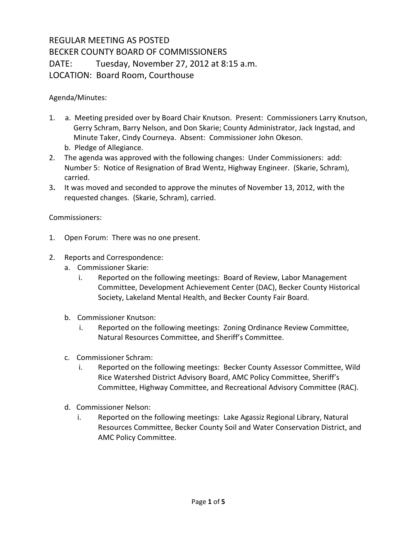## REGULAR MEETING AS POSTED BECKER COUNTY BOARD OF COMMISSIONERS DATE: Tuesday, November 27, 2012 at 8:15 a.m. LOCATION: Board Room, Courthouse

Agenda/Minutes:

- 1. a. Meeting presided over by Board Chair Knutson. Present: Commissioners Larry Knutson, Gerry Schram, Barry Nelson, and Don Skarie; County Administrator, Jack Ingstad, and Minute Taker, Cindy Courneya. Absent: Commissioner John Okeson.
	- b. Pledge of Allegiance.
- 2. The agenda was approved with the following changes: Under Commissioners: add: Number 5: Notice of Resignation of Brad Wentz, Highway Engineer. (Skarie, Schram), carried.
- 3**.** It was moved and seconded to approve the minutes of November 13, 2012, with the requested changes. (Skarie, Schram), carried.

Commissioners:

- 1. Open Forum: There was no one present.
- 2. Reports and Correspondence:
	- a. Commissioner Skarie:
		- i. Reported on the following meetings: Board of Review, Labor Management Committee, Development Achievement Center (DAC), Becker County Historical Society, Lakeland Mental Health, and Becker County Fair Board.
	- b. Commissioner Knutson:
		- i. Reported on the following meetings: Zoning Ordinance Review Committee, Natural Resources Committee, and Sheriff's Committee.
	- c. Commissioner Schram:
		- i. Reported on the following meetings: Becker County Assessor Committee, Wild Rice Watershed District Advisory Board, AMC Policy Committee, Sheriff's Committee, Highway Committee, and Recreational Advisory Committee (RAC).
	- d. Commissioner Nelson:
		- i. Reported on the following meetings: Lake Agassiz Regional Library, Natural Resources Committee, Becker County Soil and Water Conservation District, and AMC Policy Committee.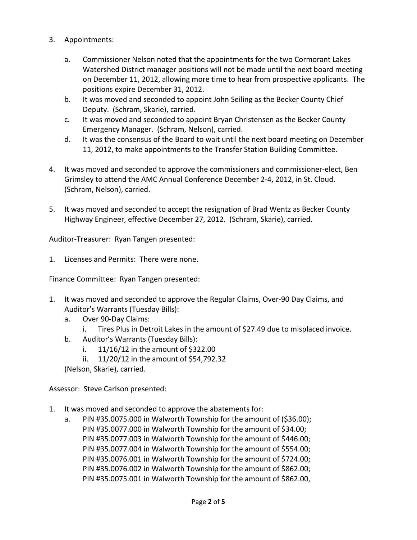- 3. Appointments:
	- a. Commissioner Nelson noted that the appointments for the two Cormorant Lakes Watershed District manager positions will not be made until the next board meeting on December 11, 2012, allowing more time to hear from prospective applicants. The positions expire December 31, 2012.
	- b. It was moved and seconded to appoint John Seiling as the Becker County Chief Deputy. (Schram, Skarie), carried.
	- c. It was moved and seconded to appoint Bryan Christensen as the Becker County Emergency Manager. (Schram, Nelson), carried.
	- d. It was the consensus of the Board to wait until the next board meeting on December 11, 2012, to make appointments to the Transfer Station Building Committee.
- 4. It was moved and seconded to approve the commissioners and commissioner-elect, Ben Grimsley to attend the AMC Annual Conference December 2-4, 2012, in St. Cloud. (Schram, Nelson), carried.
- 5. It was moved and seconded to accept the resignation of Brad Wentz as Becker County Highway Engineer, effective December 27, 2012. (Schram, Skarie), carried.

Auditor-Treasurer: Ryan Tangen presented:

1. Licenses and Permits: There were none.

Finance Committee: Ryan Tangen presented:

- 1. It was moved and seconded to approve the Regular Claims, Over-90 Day Claims, and Auditor's Warrants (Tuesday Bills):
	- a. Over 90-Day Claims:
		- i. Tires Plus in Detroit Lakes in the amount of \$27.49 due to misplaced invoice.
	- b. Auditor's Warrants (Tuesday Bills):
		- i.  $11/16/12$  in the amount of \$322.00
		- ii. 11/20/12 in the amount of \$54,792.32

(Nelson, Skarie), carried.

Assessor: Steve Carlson presented:

- 1. It was moved and seconded to approve the abatements for:
	- a. PIN #35.0075.000 in Walworth Township for the amount of (\$36.00); PIN #35.0077.000 in Walworth Township for the amount of \$34.00; PIN #35.0077.003 in Walworth Township for the amount of \$446.00; PIN #35.0077.004 in Walworth Township for the amount of \$554.00; PIN #35.0076.001 in Walworth Township for the amount of \$724.00; PIN #35.0076.002 in Walworth Township for the amount of \$862.00; PIN #35.0075.001 in Walworth Township for the amount of \$862.00,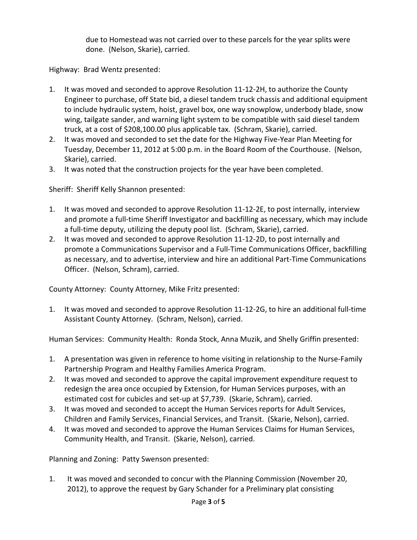due to Homestead was not carried over to these parcels for the year splits were done. (Nelson, Skarie), carried.

Highway: Brad Wentz presented:

- 1. It was moved and seconded to approve Resolution 11-12-2H, to authorize the County Engineer to purchase, off State bid, a diesel tandem truck chassis and additional equipment to include hydraulic system, hoist, gravel box, one way snowplow, underbody blade, snow wing, tailgate sander, and warning light system to be compatible with said diesel tandem truck, at a cost of \$208,100.00 plus applicable tax. (Schram, Skarie), carried.
- 2. It was moved and seconded to set the date for the Highway Five-Year Plan Meeting for Tuesday, December 11, 2012 at 5:00 p.m. in the Board Room of the Courthouse. (Nelson, Skarie), carried.
- 3. It was noted that the construction projects for the year have been completed.

Sheriff: Sheriff Kelly Shannon presented:

- 1. It was moved and seconded to approve Resolution 11-12-2E, to post internally, interview and promote a full-time Sheriff Investigator and backfilling as necessary, which may include a full-time deputy, utilizing the deputy pool list. (Schram, Skarie), carried.
- 2. It was moved and seconded to approve Resolution 11-12-2D, to post internally and promote a Communications Supervisor and a Full-Time Communications Officer, backfilling as necessary, and to advertise, interview and hire an additional Part-Time Communications Officer. (Nelson, Schram), carried.

County Attorney: County Attorney, Mike Fritz presented:

1. It was moved and seconded to approve Resolution 11-12-2G, to hire an additional full-time Assistant County Attorney. (Schram, Nelson), carried.

Human Services: Community Health: Ronda Stock, Anna Muzik, and Shelly Griffin presented:

- 1. A presentation was given in reference to home visiting in relationship to the Nurse-Family Partnership Program and Healthy Families America Program.
- 2. It was moved and seconded to approve the capital improvement expenditure request to redesign the area once occupied by Extension, for Human Services purposes, with an estimated cost for cubicles and set-up at \$7,739. (Skarie, Schram), carried.
- 3. It was moved and seconded to accept the Human Services reports for Adult Services, Children and Family Services, Financial Services, and Transit. (Skarie, Nelson), carried.
- 4. It was moved and seconded to approve the Human Services Claims for Human Services, Community Health, and Transit. (Skarie, Nelson), carried.

Planning and Zoning: Patty Swenson presented:

1. It was moved and seconded to concur with the Planning Commission (November 20, 2012), to approve the request by Gary Schander for a Preliminary plat consisting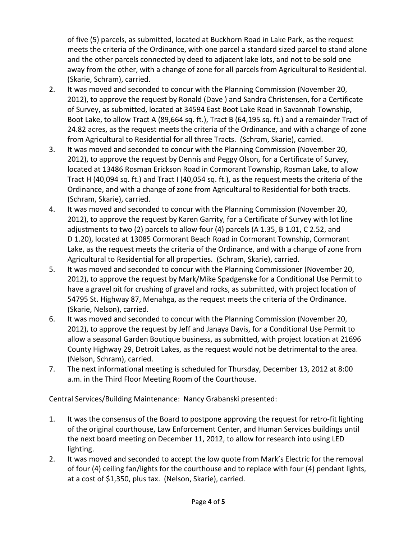of five (5) parcels, as submitted, located at Buckhorn Road in Lake Park, as the request meets the criteria of the Ordinance, with one parcel a standard sized parcel to stand alone and the other parcels connected by deed to adjacent lake lots, and not to be sold one away from the other, with a change of zone for all parcels from Agricultural to Residential. (Skarie, Schram), carried.

- 2. It was moved and seconded to concur with the Planning Commission (November 20, 2012), to approve the request by Ronald (Dave ) and Sandra Christensen, for a Certificate of Survey, as submitted, located at 34594 East Boot Lake Road in Savannah Township, Boot Lake, to allow Tract A (89,664 sq. ft.), Tract B (64,195 sq. ft.) and a remainder Tract of 24.82 acres, as the request meets the criteria of the Ordinance, and with a change of zone from Agricultural to Residential for all three Tracts. (Schram, Skarie), carried.
- 3. It was moved and seconded to concur with the Planning Commission (November 20, 2012), to approve the request by Dennis and Peggy Olson, for a Certificate of Survey, located at 13486 Rosman Erickson Road in Cormorant Township, Rosman Lake, to allow Tract H (40,094 sq. ft.) and Tract I (40,054 sq. ft.), as the request meets the criteria of the Ordinance, and with a change of zone from Agricultural to Residential for both tracts. (Schram, Skarie), carried.
- 4. It was moved and seconded to concur with the Planning Commission (November 20, 2012), to approve the request by Karen Garrity, for a Certificate of Survey with lot line adjustments to two (2) parcels to allow four (4) parcels (A 1.35, B 1.01, C 2.52, and D 1.20), located at 13085 Cormorant Beach Road in Cormorant Township, Cormorant Lake, as the request meets the criteria of the Ordinance, and with a change of zone from Agricultural to Residential for all properties. (Schram, Skarie), carried.
- 5. It was moved and seconded to concur with the Planning Commissioner (November 20, 2012), to approve the request by Mark/Mike Spadgenske for a Conditional Use Permit to have a gravel pit for crushing of gravel and rocks, as submitted, with project location of 54795 St. Highway 87, Menahga, as the request meets the criteria of the Ordinance. (Skarie, Nelson), carried.
- 6. It was moved and seconded to concur with the Planning Commission (November 20, 2012), to approve the request by Jeff and Janaya Davis, for a Conditional Use Permit to allow a seasonal Garden Boutique business, as submitted, with project location at 21696 County Highway 29, Detroit Lakes, as the request would not be detrimental to the area. (Nelson, Schram), carried.
- 7. The next informational meeting is scheduled for Thursday, December 13, 2012 at 8:00 a.m. in the Third Floor Meeting Room of the Courthouse.

Central Services/Building Maintenance: Nancy Grabanski presented:

- 1. It was the consensus of the Board to postpone approving the request for retro-fit lighting of the original courthouse, Law Enforcement Center, and Human Services buildings until the next board meeting on December 11, 2012, to allow for research into using LED lighting.
- 2. It was moved and seconded to accept the low quote from Mark's Electric for the removal of four (4) ceiling fan/lights for the courthouse and to replace with four (4) pendant lights, at a cost of \$1,350, plus tax. (Nelson, Skarie), carried.